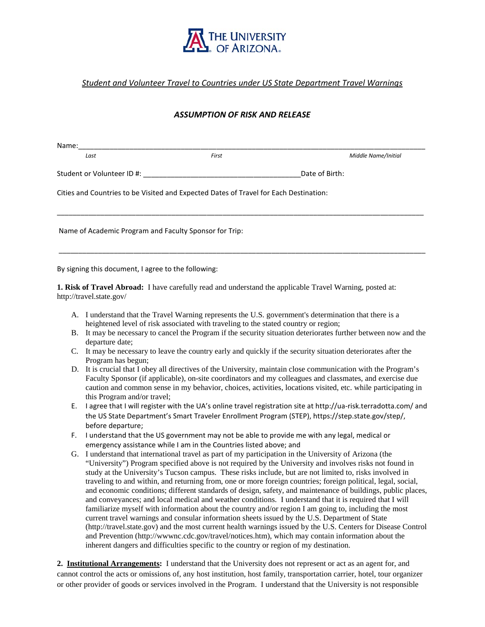

## *Student and Volunteer Travel to Countries under US State Department Travel Warnings*

## *ASSUMPTION OF RISK AND RELEASE*

| Name:                                                                                 |       |                     |
|---------------------------------------------------------------------------------------|-------|---------------------|
| Last                                                                                  | First | Middle Name/Initial |
|                                                                                       |       | Date of Birth:      |
| Cities and Countries to be Visited and Expected Dates of Travel for Each Destination: |       |                     |
|                                                                                       |       |                     |
| Name of Academic Program and Faculty Sponsor for Trip:                                |       |                     |
|                                                                                       |       |                     |
|                                                                                       |       |                     |

By signing this document, I agree to the following:

**1. Risk of Travel Abroad:** I have carefully read and understand the applicable Travel Warning, posted at: http://travel.state.gov/

- A. I understand that the Travel Warning represents the U.S. government's determination that there is a heightened level of risk associated with traveling to the stated country or region;
- B. It may be necessary to cancel the Program if the security situation deteriorates further between now and the departure date;
- C. It may be necessary to leave the country early and quickly if the security situation deteriorates after the Program has begun;
- D. It is crucial that I obey all directives of the University, maintain close communication with the Program's Faculty Sponsor (if applicable), on-site coordinators and my colleagues and classmates, and exercise due caution and common sense in my behavior, choices, activities, locations visited, etc. while participating in this Program and/or travel;
- E. I agree that I will register with the UA's online travel registration site at http://ua-risk.terradotta.com/ and the US State Department's Smart Traveler Enrollment Program (STEP), https://step.state.gov/step/, before departure;
- F. I understand that the US government may not be able to provide me with any legal, medical or emergency assistance while I am in the Countries listed above; and
- G. I understand that international travel as part of my participation in the University of Arizona (the "University") Program specified above is not required by the University and involves risks not found in study at the University's Tucson campus. These risks include, but are not limited to, risks involved in traveling to and within, and returning from, one or more foreign countries; foreign political, legal, social, and economic conditions; different standards of design, safety, and maintenance of buildings, public places, and conveyances; and local medical and weather conditions. I understand that it is required that I will familiarize myself with information about the country and/or region I am going to, including the most current travel warnings and consular information sheets issued by the U.S. Department of State (http://travel.state.gov) and the most current health warnings issued by the U.S. Centers for Disease Control and Prevention (http://wwwnc.cdc.gov/travel/notices.htm), which may contain information about the inherent dangers and difficulties specific to the country or region of my destination.

**2. Institutional Arrangements:** I understand that the University does not represent or act as an agent for, and cannot control the acts or omissions of, any host institution, host family, transportation carrier, hotel, tour organizer or other provider of goods or services involved in the Program. I understand that the University is not responsible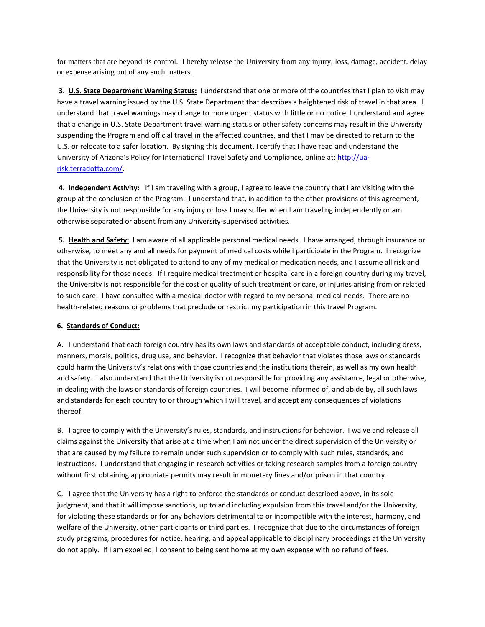for matters that are beyond its control. I hereby release the University from any injury, loss, damage, accident, delay or expense arising out of any such matters.

**3. U.S. State Department Warning Status:** I understand that one or more of the countries that I plan to visit may have a travel warning issued by the U.S. State Department that describes a heightened risk of travel in that area. I understand that travel warnings may change to more urgent status with little or no notice. I understand and agree that a change in U.S. State Department travel warning status or other safety concerns may result in the University suspending the Program and official travel in the affected countries, and that I may be directed to return to the U.S. or relocate to a safer location. By signing this document, I certify that I have read and understand the University of Arizona's Policy for International Travel Safety and Compliance, online at: [http://ua](http://ua-risk.terradotta.com/)[risk.terradotta.com/.](http://ua-risk.terradotta.com/)

**4. Independent Activity:** If I am traveling with a group, I agree to leave the country that I am visiting with the group at the conclusion of the Program. I understand that, in addition to the other provisions of this agreement, the University is not responsible for any injury or loss I may suffer when I am traveling independently or am otherwise separated or absent from any University-supervised activities.

**5. Health and Safety:** I am aware of all applicable personal medical needs. I have arranged, through insurance or otherwise, to meet any and all needs for payment of medical costs while I participate in the Program. I recognize that the University is not obligated to attend to any of my medical or medication needs, and I assume all risk and responsibility for those needs. If I require medical treatment or hospital care in a foreign country during my travel, the University is not responsible for the cost or quality of such treatment or care, or injuries arising from or related to such care. I have consulted with a medical doctor with regard to my personal medical needs. There are no health-related reasons or problems that preclude or restrict my participation in this travel Program.

## **6. Standards of Conduct:**

A. I understand that each foreign country has its own laws and standards of acceptable conduct, including dress, manners, morals, politics, drug use, and behavior. I recognize that behavior that violates those laws or standards could harm the University's relations with those countries and the institutions therein, as well as my own health and safety. I also understand that the University is not responsible for providing any assistance, legal or otherwise, in dealing with the laws or standards of foreign countries. I will become informed of, and abide by, all such laws and standards for each country to or through which I will travel, and accept any consequences of violations thereof.

B. I agree to comply with the University's rules, standards, and instructions for behavior. I waive and release all claims against the University that arise at a time when I am not under the direct supervision of the University or that are caused by my failure to remain under such supervision or to comply with such rules, standards, and instructions. I understand that engaging in research activities or taking research samples from a foreign country without first obtaining appropriate permits may result in monetary fines and/or prison in that country.

C. I agree that the University has a right to enforce the standards or conduct described above, in its sole judgment, and that it will impose sanctions, up to and including expulsion from this travel and/or the University, for violating these standards or for any behaviors detrimental to or incompatible with the interest, harmony, and welfare of the University, other participants or third parties. I recognize that due to the circumstances of foreign study programs, procedures for notice, hearing, and appeal applicable to disciplinary proceedings at the University do not apply. If I am expelled, I consent to being sent home at my own expense with no refund of fees.